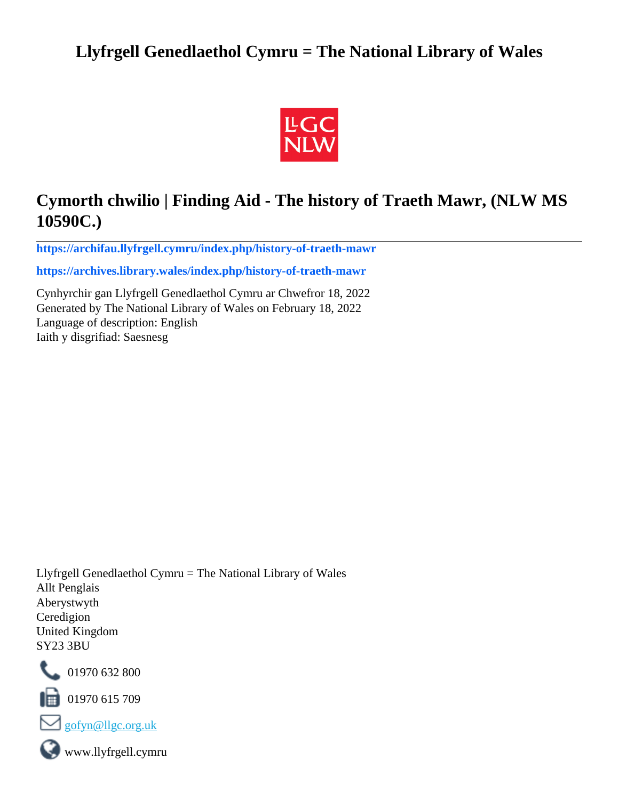## **Llyfrgell Genedlaethol Cymru = The National Library of Wales**



## **Cymorth chwilio | Finding Aid - The history of Traeth Mawr, (NLW MS 10590C.)**

**[https://archifau.llyfrgell.cymru/index.php/history-of-traeth-mawr](https://archifau.llyfrgell.cymru/index.php/history-of-traeth-mawr;isad?sf_culture=cy)**

**[https://archives.library.wales/index.php/history-of-traeth-mawr](https://archives.library.wales/index.php/history-of-traeth-mawr;isad?sf_culture=en)**

Cynhyrchir gan Llyfrgell Genedlaethol Cymru ar Chwefror 18, 2022 Generated by The National Library of Wales on February 18, 2022 Language of description: English Iaith y disgrifiad: Saesnesg

Llyfrgell Genedlaethol Cymru = The National Library of Wales Allt Penglais Aberystwyth Ceredigion United Kingdom SY23 3BU



101970 632 800

 $\blacksquare$  01970 615 709



www.llyfrgell.cymru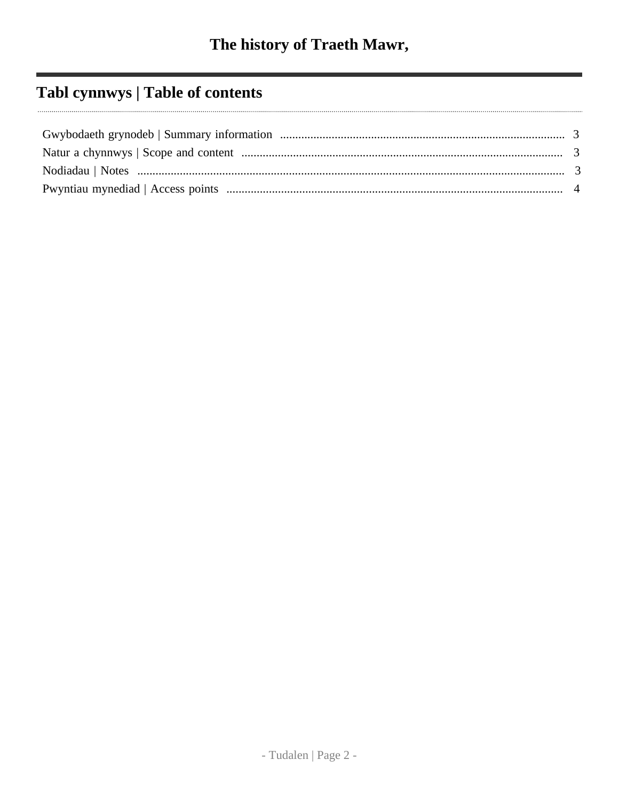# Tabl cynnwys | Table of contents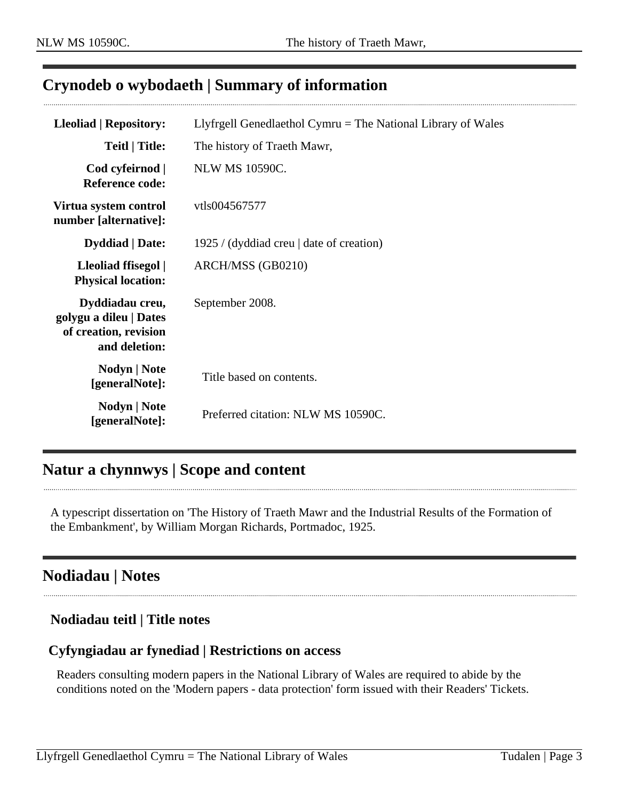### <span id="page-2-0"></span>**Crynodeb o wybodaeth | Summary of information**

| <b>Lleoliad   Repository:</b>                                                       | Llyfrgell Genedlaethol Cymru $=$ The National Library of Wales |
|-------------------------------------------------------------------------------------|----------------------------------------------------------------|
| <b>Teitl   Title:</b>                                                               | The history of Traeth Mawr,                                    |
| Cod cyfeirnod  <br><b>Reference code:</b>                                           | <b>NLW MS 10590C.</b>                                          |
| Virtua system control<br>number [alternative]:                                      | vtls004567577                                                  |
| <b>Dyddiad</b>   Date:                                                              | 1925 / (dyddiad creu   date of creation)                       |
| Lleoliad ffisegol  <br><b>Physical location:</b>                                    | ARCH/MSS (GB0210)                                              |
| Dyddiadau creu,<br>golygu a dileu   Dates<br>of creation, revision<br>and deletion: | September 2008.                                                |
| Nodyn   Note<br>[generalNote]:                                                      | Title based on contents.                                       |
| Nodyn   Note<br>[generalNote]:                                                      | Preferred citation: NLW MS 10590C.                             |

## <span id="page-2-1"></span>**Natur a chynnwys | Scope and content**

A typescript dissertation on 'The History of Traeth Mawr and the Industrial Results of the Formation of the Embankment', by William Morgan Richards, Portmadoc, 1925.

## <span id="page-2-2"></span>**Nodiadau | Notes**

#### **Nodiadau teitl | Title notes**

#### **Cyfyngiadau ar fynediad | Restrictions on access**

Readers consulting modern papers in the National Library of Wales are required to abide by the conditions noted on the 'Modern papers - data protection' form issued with their Readers' Tickets.